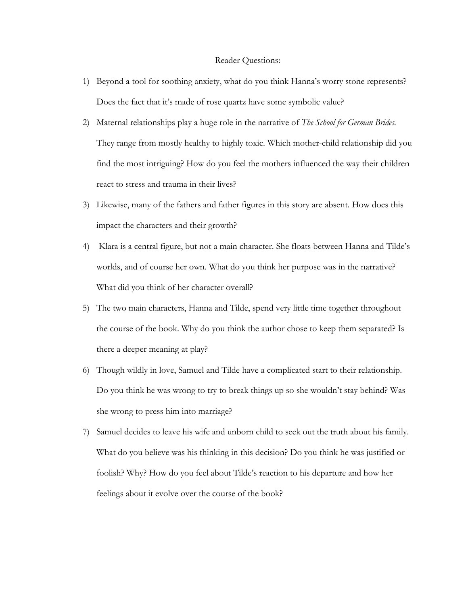## Reader Questions:

- 1) Beyond a tool for soothing anxiety, what do you think Hanna's worry stone represents? Does the fact that it's made of rose quartz have some symbolic value?
- 2) Maternal relationships play a huge role in the narrative of *The School for German Brides*. They range from mostly healthy to highly toxic. Which mother-child relationship did you find the most intriguing? How do you feel the mothers influenced the way their children react to stress and trauma in their lives?
- 3) Likewise, many of the fathers and father figures in this story are absent. How does this impact the characters and their growth?
- 4) Klara is a central figure, but not a main character. She floats between Hanna and Tilde's worlds, and of course her own. What do you think her purpose was in the narrative? What did you think of her character overall?
- 5) The two main characters, Hanna and Tilde, spend very little time together throughout the course of the book. Why do you think the author chose to keep them separated? Is there a deeper meaning at play?
- 6) Though wildly in love, Samuel and Tilde have a complicated start to their relationship. Do you think he was wrong to try to break things up so she wouldn't stay behind? Was she wrong to press him into marriage?
- 7) Samuel decides to leave his wife and unborn child to seek out the truth about his family. What do you believe was his thinking in this decision? Do you think he was justified or foolish? Why? How do you feel about Tilde's reaction to his departure and how her feelings about it evolve over the course of the book?